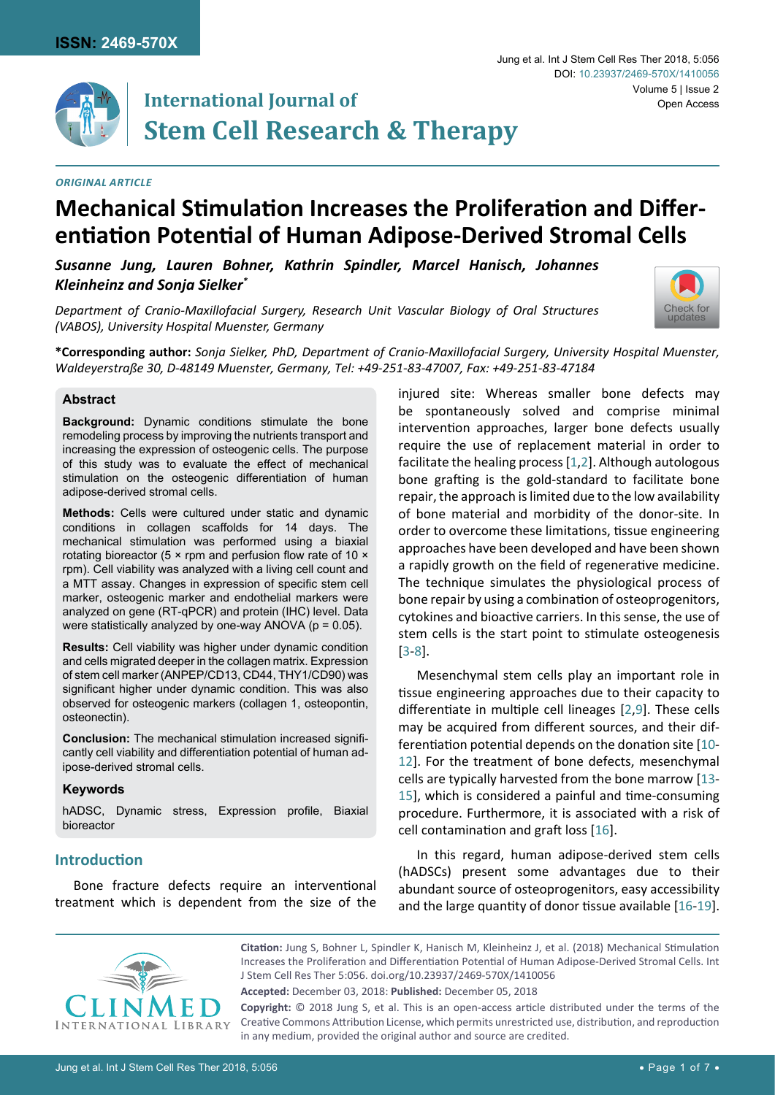



# **International Journal of Stem Cell Research & Therapy**

### *Original Article*

# **Mechanical Stimulation Increases the Proliferation and Differentiation Potential of Human Adipose-Derived Stromal Cells**

*Susanne Jung, Lauren Bohner, Kathrin Spindler, Marcel Hanisch, Johannes Kleinheinz and Sonja Sielker\**

*Department of Cranio-Maxillofacial Surgery, Research Unit Vascular Biology of Oral Structures (VABOS), University Hospital Muenster, Germany*

**\*Corresponding author:** *Sonja Sielker, PhD, Department of Cranio-Maxillofacial Surgery, University Hospital Muenster, Waldeyerstraße 30, D-48149 Muenster, Germany, Tel: +49-251-83-47007, Fax: +49-251-83-47184*

#### **Abstract**

**Background:** Dynamic conditions stimulate the bone remodeling process by improving the nutrients transport and increasing the expression of osteogenic cells. The purpose of this study was to evaluate the effect of mechanical stimulation on the osteogenic differentiation of human adipose-derived stromal cells.

**Methods:** Cells were cultured under static and dynamic conditions in collagen scaffolds for 14 days. The mechanical stimulation was performed using a biaxial rotating bioreactor (5 × rpm and perfusion flow rate of 10 × rpm). Cell viability was analyzed with a living cell count and a MTT assay. Changes in expression of specific stem cell marker, osteogenic marker and endothelial markers were analyzed on gene (RT-qPCR) and protein (IHC) level. Data were statistically analyzed by one-way ANOVA ( $p = 0.05$ ).

**Results:** Cell viability was higher under dynamic condition and cells migrated deeper in the collagen matrix. Expression of stem cell marker (ANPEP/CD13, CD44, THY1/CD90) was significant higher under dynamic condition. This was also observed for osteogenic markers (collagen 1, osteopontin, osteonectin).

**Conclusion:** The mechanical stimulation increased significantly cell viability and differentiation potential of human adipose-derived stromal cells.

#### **Keywords**

hADSC, Dynamic stress, Expression profile, Biaxial bioreactor

# **Introduction**

Bone fracture defects require an interventional treatment which is dependent from the size of the injured site: Whereas smaller bone defects may be spontaneously solved and comprise minimal intervention approaches, larger bone defects usually require the use of replacement material in order to facilitate the healing process [\[1](#page-5-0)[,2](#page-5-1)]. Although autologous bone grafting is the gold-standard to facilitate bone repair, the approach is limited due to the low availability of bone material and morbidity of the donor-site. In order to overcome these limitations, tissue engineering approaches have been developed and have been shown a rapidly growth on the field of regenerative medicine. The technique simulates the physiological process of bone repair by using a combination of osteoprogenitors, cytokines and bioactive carriers. In this sense, the use of stem cells is the start point to stimulate osteogenesis [[3](#page-5-2)-[8](#page-5-0)].

Mesenchymal stem cells play an important role in tissue engineering approaches due to their capacity to differentiate in multiple cell lineages [[2,](#page-5-1)[9\]](#page-5-3). These cells may be acquired from different sources, and their differentiation potential depends on the donation site [[10](#page-5-4)- [12](#page-5-5)]. For the treatment of bone defects, mesenchymal cells are typically harvested from the bone marrow [\[13-](#page-6-0) [15](#page-6-1)], which is considered a painful and time-consuming procedure. Furthermore, it is associated with a risk of cell contamination and graft loss [\[16](#page-6-2)].

In this regard, human adipose-derived stem cells (hADSCs) present some advantages due to their abundant source of osteoprogenitors, easy accessibility and the large quantity of donor tissue available [\[16](#page-6-2)-[19](#page-6-3)].



**Citation:** Jung S, Bohner L, Spindler K, Hanisch M, Kleinheinz J, et al. (2018) Mechanical Stimulation Increases the Proliferation and Differentiation Potential of Human Adipose-Derived Stromal Cells. Int J Stem Cell Res Ther 5:056. [doi.org/10.23937/2469-570X/1410056](https://doi.org/10.23937/2469-570X/1410056)

**Accepted:** December 03, 2018: **Published:** December 05, 2018

**Copyright:** © 2018 Jung S, et al. This is an open-access article distributed under the terms of the Creative Commons Attribution License, which permits unrestricted use, distribution, and reproduction in any medium, provided the original author and source are credited.

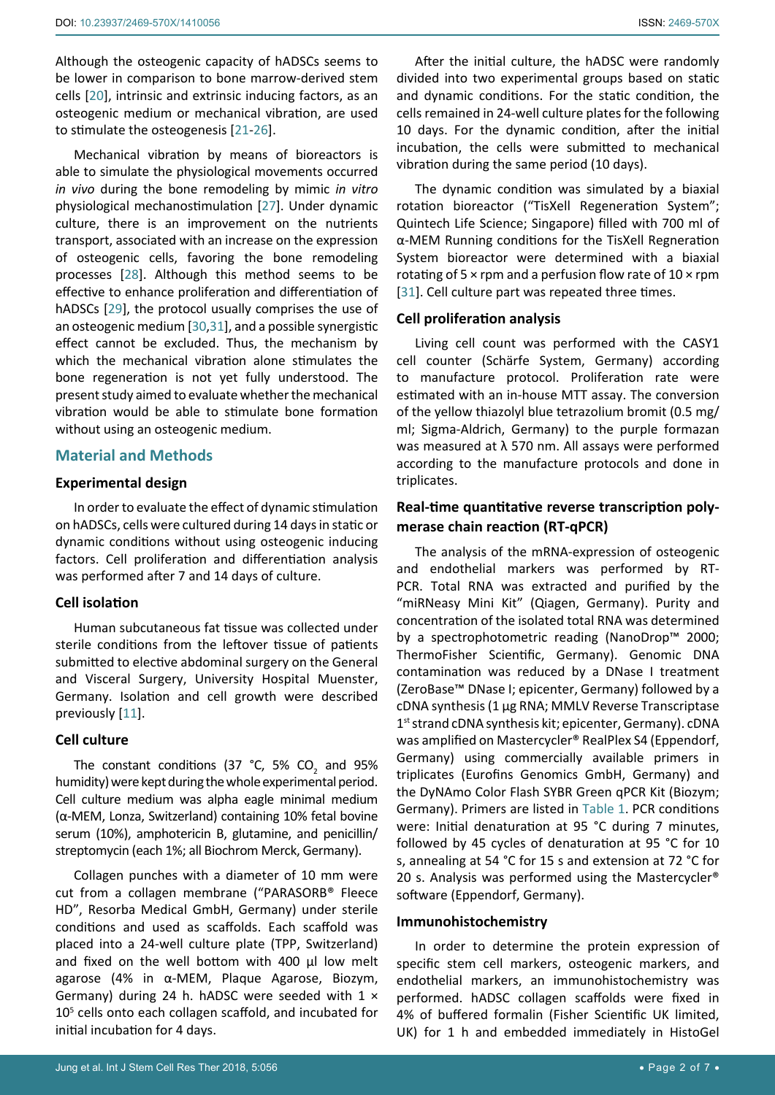Although the osteogenic capacity of hADSCs seems to be lower in comparison to bone marrow-derived stem cells [[20\]](#page-6-4), intrinsic and extrinsic inducing factors, as an osteogenic medium or mechanical vibration, are used to stimulate the osteogenesis [[21](#page-6-5)-[26](#page-6-6)].

Mechanical vibration by means of bioreactors is able to simulate the physiological movements occurred *in vivo* during the bone remodeling by mimic *in vitro* physiological mechanostimulation [\[27](#page-6-7)]. Under dynamic culture, there is an improvement on the nutrients transport, associated with an increase on the expression of osteogenic cells, favoring the bone remodeling processes [[28](#page-6-8)]. Although this method seems to be effective to enhance proliferation and differentiation of hADSCs [\[29](#page-6-9)], the protocol usually comprises the use of an osteogenic medium [\[30](#page-6-10),[31](#page-6-11)], and a possible synergistic effect cannot be excluded. Thus, the mechanism by which the mechanical vibration alone stimulates the bone regeneration is not yet fully understood. The present study aimed to evaluate whether the mechanical vibration would be able to stimulate bone formation without using an osteogenic medium.

## **Material and Methods**

#### **Experimental design**

In order to evaluate the effect of dynamic stimulation on hADSCs, cells were cultured during 14 days in static or dynamic conditions without using osteogenic inducing factors. Cell proliferation and differentiation analysis was performed after 7 and 14 days of culture.

#### **Cell isolation**

Human subcutaneous fat tissue was collected under sterile conditions from the leftover tissue of patients submitted to elective abdominal surgery on the General and Visceral Surgery, University Hospital Muenster, Germany. Isolation and cell growth were described previously [[11](#page-5-6)].

### **Cell culture**

The constant conditions (37  $^{\circ}$ C, 5% CO<sub>2</sub> and 95% humidity) were kept during the whole experimental period. Cell culture medium was alpha eagle minimal medium (α-MEM, Lonza, Switzerland) containing 10% fetal bovine serum (10%), amphotericin B, glutamine, and penicillin/ streptomycin (each 1%; all Biochrom Merck, Germany).

Collagen punches with a diameter of 10 mm were cut from a collagen membrane ("PARASORB® Fleece HD", Resorba Medical GmbH, Germany) under sterile conditions and used as scaffolds. Each scaffold was placed into a 24-well culture plate (TPP, Switzerland) and fixed on the well bottom with 400 µl low melt agarose (4% in α-MEM, Plaque Agarose, Biozym, Germany) during 24 h. hADSC were seeded with  $1 \times$ 10<sup>5</sup> cells onto each collagen scaffold, and incubated for initial incubation for 4 days.

After the initial culture, the hADSC were randomly divided into two experimental groups based on static and dynamic conditions. For the static condition, the cells remained in 24-well culture plates for the following 10 days. For the dynamic condition, after the initial incubation, the cells were submitted to mechanical vibration during the same period (10 days).

The dynamic condition was simulated by a biaxial rotation bioreactor ("TisXell Regeneration System"; Quintech Life Science; Singapore) filled with 700 ml of α-MEM Running conditions for the TisXell Regneration System bioreactor were determined with a biaxial rotating of 5  $\times$  rpm and a perfusion flow rate of 10  $\times$  rpm [[31](#page-6-11)]. Cell culture part was repeated three times.

#### **Cell proliferation analysis**

Living cell count was performed with the CASY1 cell counter (Schärfe System, Germany) according to manufacture protocol. Proliferation rate were estimated with an in-house MTT assay. The conversion of the yellow thiazolyl blue tetrazolium bromit (0.5 mg/ ml; Sigma-Aldrich, Germany) to the purple formazan was measured at λ 570 nm. All assays were performed according to the manufacture protocols and done in triplicates.

# **Real-time quantitative reverse transcription polymerase chain reaction (RT-qPCR)**

The analysis of the mRNA-expression of osteogenic and endothelial markers was performed by RT-PCR. Total RNA was extracted and purified by the "miRNeasy Mini Kit" (Qiagen, Germany). Purity and concentration of the isolated total RNA was determined by a spectrophotometric reading (NanoDrop™ 2000; ThermoFisher Scientific, Germany). Genomic DNA contamination was reduced by a DNase I treatment (ZeroBase™ DNase I; epicenter, Germany) followed by a cDNA synthesis (1 µg RNA; MMLV Reverse Transcriptase 1<sup>st</sup> strand cDNA synthesis kit; epicenter, Germany). cDNA was amplified on Mastercycler® RealPlex S4 (Eppendorf, Germany) using commercially available primers in triplicates (Eurofins Genomics GmbH, Germany) and the DyNAmo Color Flash SYBR Green qPCR Kit (Biozym; Germany). Primers are listed in [Table 1](#page-2-0). PCR conditions were: Initial denaturation at 95 °C during 7 minutes, followed by 45 cycles of denaturation at 95 °C for 10 s, annealing at 54 °C for 15 s and extension at 72 °C for 20 s. Analysis was performed using the Mastercycler® software (Eppendorf, Germany).

### **Immunohistochemistry**

In order to determine the protein expression of specific stem cell markers, osteogenic markers, and endothelial markers, an immunohistochemistry was performed. hADSC collagen scaffolds were fixed in 4% of buffered formalin (Fisher Scientific UK limited, UK) for 1 h and embedded immediately in HistoGel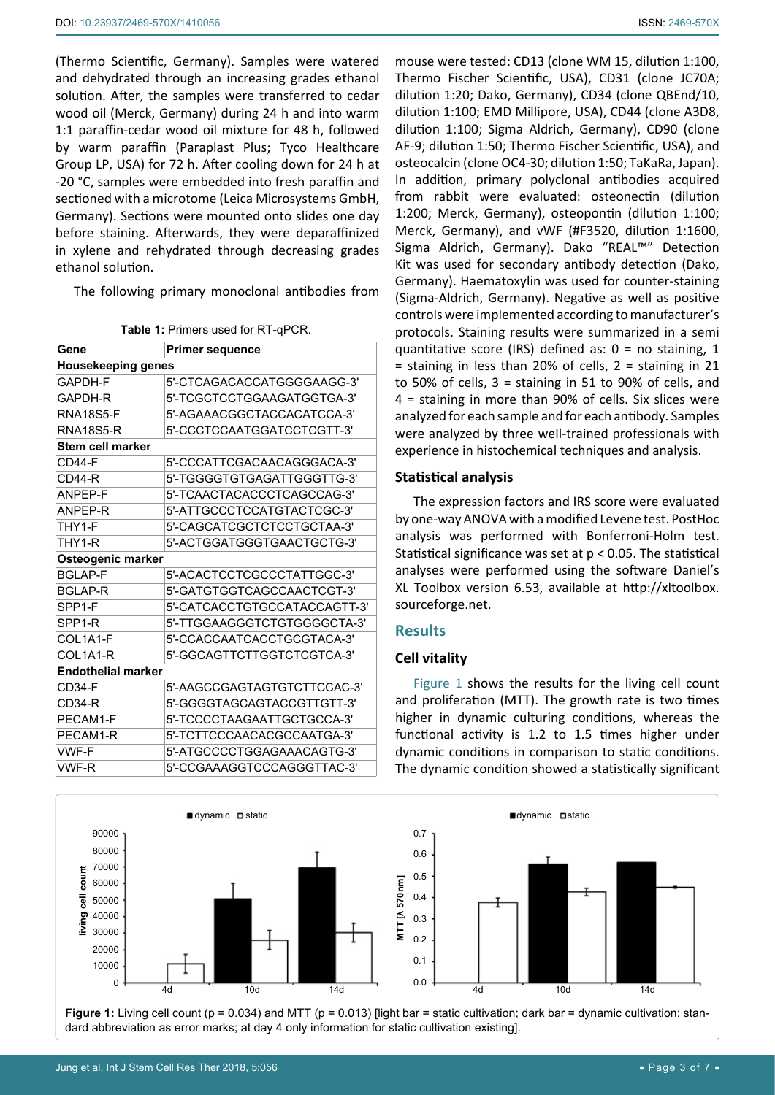(Thermo Scientific, Germany). Samples were watered and dehydrated through an increasing grades ethanol solution. After, the samples were transferred to cedar wood oil (Merck, Germany) during 24 h and into warm 1:1 paraffin-cedar wood oil mixture for 48 h, followed by warm paraffin (Paraplast Plus; Tyco Healthcare Group LP, USA) for 72 h. After cooling down for 24 h at -20 °C, samples were embedded into fresh paraffin and sectioned with a microtome (Leica Microsystems GmbH, Germany). Sections were mounted onto slides one day before staining. Afterwards, they were deparaffinized in xylene and rehydrated through decreasing grades ethanol solution.

The following primary monoclonal antibodies from

<span id="page-2-0"></span>**Table 1:** Primers used for RT-qPCR.

| Gene                      | <b>Primer sequence</b>       |  |  |  |  |  |  |  |  |
|---------------------------|------------------------------|--|--|--|--|--|--|--|--|
| <b>Housekeeping genes</b> |                              |  |  |  |  |  |  |  |  |
| GAPDH-F                   | 5'-CTCAGACACCATGGGGAAGG-3'   |  |  |  |  |  |  |  |  |
| GAPDH-R                   | 5'-TCGCTCCTGGAAGATGGTGA-3'   |  |  |  |  |  |  |  |  |
| <b>RNA18S5-F</b>          | 5'-AGAAACGGCTACCACATCCA-3'   |  |  |  |  |  |  |  |  |
| RNA18S5-R                 | 5'-CCCTCCAATGGATCCTCGTT-3'   |  |  |  |  |  |  |  |  |
| Stem cell marker          |                              |  |  |  |  |  |  |  |  |
| $CD44-F$                  | 5'-CCCATTCGACAACAGGGACA-3'   |  |  |  |  |  |  |  |  |
| CD44-R                    | 5'-TGGGGTGTGAGATTGGGTTG-3'   |  |  |  |  |  |  |  |  |
| ANPFP-F                   | 5'-TCAACTACACCCTCAGCCAG-3'   |  |  |  |  |  |  |  |  |
| ANPEP-R                   | 5'-ATTGCCCTCCATGTACTCGC-3'   |  |  |  |  |  |  |  |  |
| THY1-F                    | 5'-CAGCATCGCTCTCCTGCTAA-3'   |  |  |  |  |  |  |  |  |
| THY1-R                    | 5'-ACTGGATGGGTGAACTGCTG-3'   |  |  |  |  |  |  |  |  |
| Osteogenic marker         |                              |  |  |  |  |  |  |  |  |
| <b>BGLAP-F</b>            | 5'-ACACTCCTCGCCCTATTGGC-3'   |  |  |  |  |  |  |  |  |
| <b>BGLAP-R</b>            | 5'-GATGTGGTCAGCCAACTCGT-3'   |  |  |  |  |  |  |  |  |
| SPP <sub>1-F</sub>        | 5'-CATCACCTGTGCCATACCAGTT-3' |  |  |  |  |  |  |  |  |
| SPP <sub>1-R</sub>        | 5'-TTGGAAGGGTCTGTGGGGCTA-3'  |  |  |  |  |  |  |  |  |
| COL1A1-F                  | 5'-CCACCAATCACCTGCGTACA-3'   |  |  |  |  |  |  |  |  |
| COL1A1-R                  | 5'-GGCAGTTCTTGGTCTCGTCA-3'   |  |  |  |  |  |  |  |  |
| <b>Endothelial marker</b> |                              |  |  |  |  |  |  |  |  |
| CD34-F                    | 5'-AAGCCGAGTAGTGTCTTCCAC-3'  |  |  |  |  |  |  |  |  |
| CD34-R                    | 5'-GGGGTAGCAGTACCGTTGTT-3'   |  |  |  |  |  |  |  |  |
| PECAM1-F                  | 5'-TCCCCTAAGAATTGCTGCCA-3'   |  |  |  |  |  |  |  |  |
| PECAM1-R                  | 5'-TCTTCCCAACACGCCAATGA-3'   |  |  |  |  |  |  |  |  |
| <b>VWF-F</b>              | 5'-ATGCCCCTGGAGAAACAGTG-3'   |  |  |  |  |  |  |  |  |
| VWF-R                     | 5'-CCGAAAGGTCCCAGGGTTAC-3'   |  |  |  |  |  |  |  |  |

mouse were tested: CD13 (clone WM 15, dilution 1:100, Thermo Fischer Scientific, USA), CD31 (clone JC70A; dilution 1:20; Dako, Germany), CD34 (clone QBEnd/10, dilution 1:100; EMD Millipore, USA), CD44 (clone A3D8, dilution 1:100; Sigma Aldrich, Germany), CD90 (clone AF-9; dilution 1:50; Thermo Fischer Scientific, USA), and osteocalcin (clone OC4-30; dilution 1:50; TaKaRa, Japan). In addition, primary polyclonal antibodies acquired from rabbit were evaluated: osteonectin (dilution 1:200; Merck, Germany), osteopontin (dilution 1:100; Merck, Germany), and vWF (#F3520, dilution 1:1600, Sigma Aldrich, Germany). Dako "REAL™" Detection Kit was used for secondary antibody detection (Dako, Germany). Haematoxylin was used for counter-staining (Sigma-Aldrich, Germany). Negative as well as positive controls were implemented according to manufacturer's protocols. Staining results were summarized in a semi quantitative score (IRS) defined as:  $0 =$  no staining, 1  $=$  staining in less than 20% of cells,  $2 =$  staining in 21 to 50% of cells, 3 = staining in 51 to 90% of cells, and 4 = staining in more than 90% of cells. Six slices were analyzed for each sample and for each antibody. Samples were analyzed by three well-trained professionals with experience in histochemical techniques and analysis.

## **Statistical analysis**

The expression factors and IRS score were evaluated by one-way ANOVA with a modified Levene test. PostHoc analysis was performed with Bonferroni-Holm test. Statistical significance was set at p < 0.05. The statistical analyses were performed using the software Daniel's XL Toolbox version 6.53, available at [http://xltoolbox.](http://xltoolbox.sourceforge.net) [sourceforge.net.](http://xltoolbox.sourceforge.net)

# **Results**

# **Cell vitality**

[Figure 1](#page-2-1) shows the results for the living cell count and proliferation (MTT). The growth rate is two times higher in dynamic culturing conditions, whereas the functional activity is 1.2 to 1.5 times higher under dynamic conditions in comparison to static conditions. The dynamic condition showed a statistically significant

<span id="page-2-1"></span>

**Figure 1:** Living cell count (p = 0.034) and MTT (p = 0.013) [light bar = static cultivation; dark bar = dynamic cultivation; standard abbreviation as error marks; at day 4 only information for static cultivation existing].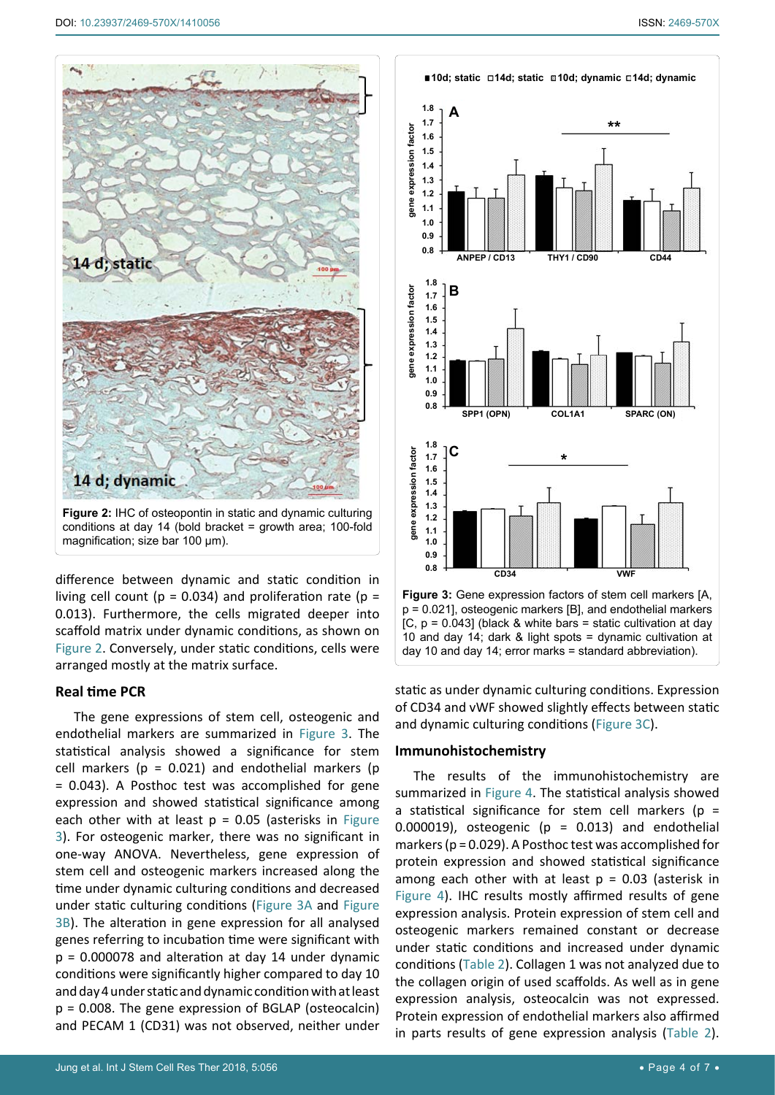<span id="page-3-1"></span>

difference between dynamic and static condition in living cell count ( $p = 0.034$ ) and proliferation rate ( $p =$ 0.013). Furthermore, the cells migrated deeper into scaffold matrix under dynamic conditions, as shown on [Figure 2](#page-3-1). Conversely, under static conditions, cells were arranged mostly at the matrix surface.

#### **Real time PCR**

The gene expressions of stem cell, osteogenic and endothelial markers are summarized in [Figure 3.](#page-3-0) The statistical analysis showed a significance for stem cell markers ( $p = 0.021$ ) and endothelial markers ( $p$ = 0.043). A Posthoc test was accomplished for gene expression and showed statistical significance among each other with at least  $p = 0.05$  (asterisks in Figure [3](#page-3-0)). For osteogenic marker, there was no significant in one-way ANOVA. Nevertheless, gene expression of stem cell and osteogenic markers increased along the time under dynamic culturing conditions and decreased under static culturing conditions ([Figure 3A](#page-3-0) and [Figure](#page-3-0)  [3B](#page-3-0)). The alteration in gene expression for all analysed genes referring to incubation time were significant with  $p = 0.000078$  and alteration at day 14 under dynamic conditions were significantly higher compared to day 10 and day 4 under static and dynamic condition with at least p = 0.008. The gene expression of BGLAP (osteocalcin) and PECAM 1 (CD31) was not observed, neither under

<span id="page-3-0"></span>

static as under dynamic culturing conditions. Expression of CD34 and vWF showed slightly effects between static and dynamic culturing conditions ([Figure 3C](#page-3-0)).

#### **Immunohistochemistry**

The results of the immunohistochemistry are summarized in [Figure 4](#page-4-0). The statistical analysis showed a statistical significance for stem cell markers ( $p =$ 0.000019), osteogenic ( $p = 0.013$ ) and endothelial markers (p = 0.029). A Posthoc test was accomplished for protein expression and showed statistical significance among each other with at least  $p = 0.03$  (asterisk in [Figure 4](#page-4-0)). IHC results mostly affirmed results of gene expression analysis. Protein expression of stem cell and osteogenic markers remained constant or decrease under static conditions and increased under dynamic conditions ([Table 2](#page-4-1)). Collagen 1 was not analyzed due to the collagen origin of used scaffolds. As well as in gene expression analysis, osteocalcin was not expressed. Protein expression of endothelial markers also affirmed in parts results of gene expression analysis ([Table 2](#page-4-1)).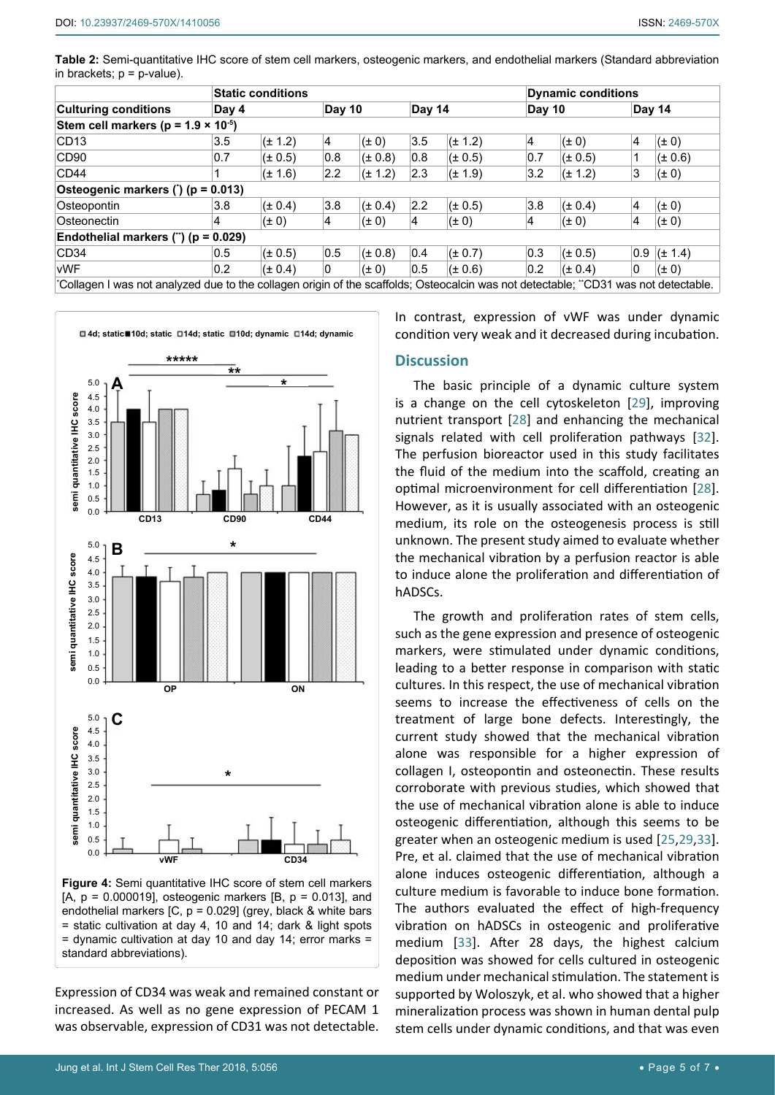<span id="page-4-1"></span>**Table 2:** Semi-quantitative IHC score of stem cell markers, osteogenic markers, and endothelial markers (Standard abbreviation in brackets;  $p = p$ -value).

|                                                                                                                                    |       | <b>Static conditions</b> |     |               |     |             |     | <b>Dynamic conditions</b> |                |               |  |  |
|------------------------------------------------------------------------------------------------------------------------------------|-------|--------------------------|-----|---------------|-----|-------------|-----|---------------------------|----------------|---------------|--|--|
| <b>Culturing conditions</b>                                                                                                        | Day 4 |                          |     | <b>Day 10</b> |     | Day 14      |     | Day 10                    |                | Day 14        |  |  |
| Stem cell markers ( $p = 1.9 \times 10^{-5}$ )                                                                                     |       |                          |     |               |     |             |     |                           |                |               |  |  |
| CD <sub>13</sub>                                                                                                                   | 3.5   | $(\pm 1.2)$              | 4   | $(\pm 0)$     | 3.5 | $(\pm 1.2)$ | 4   | $(\pm 0)$                 | 4              | $(\pm 0)$     |  |  |
| CD90                                                                                                                               | 0.7   | $(\pm 0.5)$              | 0.8 | $(\pm 0.8)$   | 0.8 | $(\pm 0.5)$ | 0.7 | $(t \pm 0.5)$             | 1              | $(\pm 0.6)$   |  |  |
| CD44                                                                                                                               |       | $(\pm 1.6)$              | 2.2 | $(\pm 1.2)$   | 2.3 | $(\pm 1.9)$ | 3.2 | $(t \pm 1.2)$             | 3              | $(\pm 0)$     |  |  |
| Osteogenic markers (*) (p = 0.013)                                                                                                 |       |                          |     |               |     |             |     |                           |                |               |  |  |
| Osteopontin                                                                                                                        | 3.8   | $(\pm 0.4)$              | 3.8 | $(\pm 0.4)$   | 2.2 | $(\pm 0.5)$ | 3.8 | $(t \pm 0.4)$             | $\overline{4}$ | $(\pm 0)$     |  |  |
| Osteonectin                                                                                                                        | 4     | $(\pm 0)$                | 4   | $(\pm 0)$     | 4   | $(\pm 0)$   | 4   | $(\pm 0)$                 | 4              | $(\pm 0)$     |  |  |
| Endothelial markers (") ( $p = 0.029$ )                                                                                            |       |                          |     |               |     |             |     |                           |                |               |  |  |
| CD <sub>34</sub>                                                                                                                   | 0.5   | $(\pm 0.5)$              | 0.5 | $(\pm 0.8)$   | 0.4 | $(\pm 0.7)$ | 0.3 | $(t \pm 0.5)$             |                | $0.9$ (± 1.4) |  |  |
| <b>vWF</b>                                                                                                                         | 0.2   | $(\pm 0.4)$              | 0   | $(\pm 0)$     | 0.5 | $(\pm 0.6)$ | 0.2 | $(t \pm 0.4)$             | 0              | $(\pm 0)$     |  |  |
| Collagen I was not analyzed due to the collagen origin of the scaffolds; Osteocalcin was not detectable; "CD31 was not detectable. |       |                          |     |               |     |             |     |                           |                |               |  |  |

<span id="page-4-0"></span>

**Figure 4:** Semi quantitative IHC score of stem cell markers  $[A, p = 0.000019]$ , osteogenic markers  $[B, p = 0.013]$ , and endothelial markers  $[C, p = 0.029]$  (grey, black & white bars = static cultivation at day 4, 10 and 14; dark & light spots = dynamic cultivation at day 10 and day 14; error marks = standard abbreviations).

Expression of CD34 was weak and remained constant or increased. As well as no gene expression of PECAM 1 was observable, expression of CD31 was not detectable. In contrast, expression of vWF was under dynamic condition very weak and it decreased during incubation.

# **Discussion**

The basic principle of a dynamic culture system is a change on the cell cytoskeleton [[29](#page-6-9)], improving nutrient transport [[28](#page-6-8)] and enhancing the mechanical signals related with cell proliferation pathways [\[32](#page-6-12)]. The perfusion bioreactor used in this study facilitates the fluid of the medium into the scaffold, creating an optimal microenvironment for cell differentiation [[28\]](#page-6-8). However, as it is usually associated with an osteogenic medium, its role on the osteogenesis process is still unknown. The present study aimed to evaluate whether the mechanical vibration by a perfusion reactor is able to induce alone the proliferation and differentiation of hADSCs.

The growth and proliferation rates of stem cells, such as the gene expression and presence of osteogenic markers, were stimulated under dynamic conditions, leading to a better response in comparison with static cultures. In this respect, the use of mechanical vibration seems to increase the effectiveness of cells on the treatment of large bone defects. Interestingly, the current study showed that the mechanical vibration alone was responsible for a higher expression of collagen I, osteopontin and osteonectin. These results corroborate with previous studies, which showed that the use of mechanical vibration alone is able to induce osteogenic differentiation, although this seems to be greater when an osteogenic medium is used [[25](#page-6-13),[29](#page-6-9),[33](#page-6-14)]. Pre, et al. claimed that the use of mechanical vibration alone induces osteogenic differentiation, although a culture medium is favorable to induce bone formation. The authors evaluated the effect of high-frequency vibration on hADSCs in osteogenic and proliferative medium [[33\]](#page-6-14). After 28 days, the highest calcium deposition was showed for cells cultured in osteogenic medium under mechanical stimulation. The statement is supported by Woloszyk, et al. who showed that a higher mineralization process was shown in human dental pulp stem cells under dynamic conditions, and that was even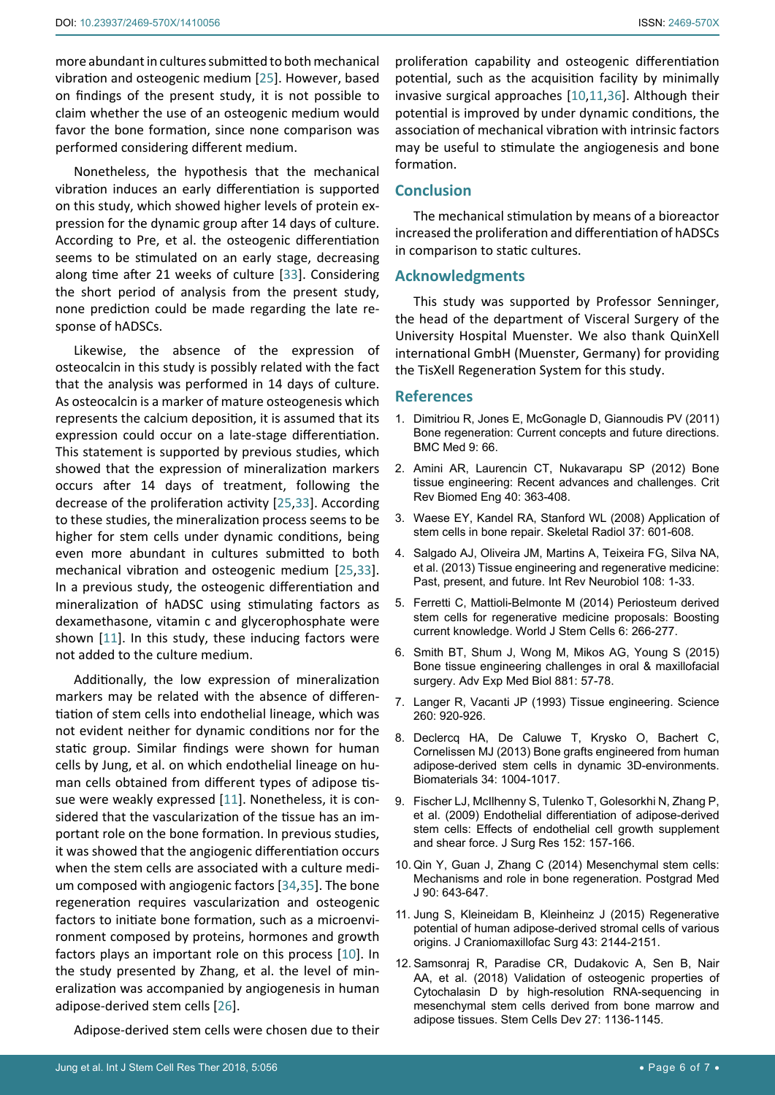more abundant in cultures submitted to both mechanical vibration and osteogenic medium [\[25](#page-6-13)]. However, based on findings of the present study, it is not possible to claim whether the use of an osteogenic medium would favor the bone formation, since none comparison was performed considering different medium.

Nonetheless, the hypothesis that the mechanical vibration induces an early differentiation is supported on this study, which showed higher levels of protein expression for the dynamic group after 14 days of culture. According to Pre, et al. the osteogenic differentiation seems to be stimulated on an early stage, decreasing along time after 21 weeks of culture [[33](#page-6-14)]. Considering the short period of analysis from the present study, none prediction could be made regarding the late response of hADSCs.

Likewise, the absence of the expression of osteocalcin in this study is possibly related with the fact that the analysis was performed in 14 days of culture. As osteocalcin is a marker of mature osteogenesis which represents the calcium deposition, it is assumed that its expression could occur on a late-stage differentiation. This statement is supported by previous studies, which showed that the expression of mineralization markers occurs after 14 days of treatment, following the decrease of the proliferation activity [[25](#page-6-13),[33](#page-6-14)]. According to these studies, the mineralization process seems to be higher for stem cells under dynamic conditions, being even more abundant in cultures submitted to both mechanical vibration and osteogenic medium [\[25](#page-6-13),[33](#page-6-14)]. In a previous study, the osteogenic differentiation and mineralization of hADSC using stimulating factors as dexamethasone, vitamin c and glycerophosphate were shown [[11](#page-5-6)]. In this study, these inducing factors were not added to the culture medium.

Additionally, the low expression of mineralization markers may be related with the absence of differentiation of stem cells into endothelial lineage, which was not evident neither for dynamic conditions nor for the static group. Similar findings were shown for human cells by Jung, et al. on which endothelial lineage on human cells obtained from different types of adipose tissue were weakly expressed [[11](#page-5-6)]. Nonetheless, it is considered that the vascularization of the tissue has an important role on the bone formation. In previous studies, it was showed that the angiogenic differentiation occurs when the stem cells are associated with a culture medium composed with angiogenic factors [[34](#page-6-16),[35\]](#page-6-17). The bone regeneration requires vascularization and osteogenic factors to initiate bone formation, such as a microenvironment composed by proteins, hormones and growth factors plays an important role on this process [[10\]](#page-5-4). In the study presented by Zhang, et al. the level of mineralization was accompanied by angiogenesis in human adipose-derived stem cells [\[26](#page-6-6)].

Adipose-derived stem cells were chosen due to their

# **Conclusion**

formation.

The mechanical stimulation by means of a bioreactor increased the proliferation and differentiation of hADSCs in comparison to static cultures.

may be useful to stimulate the angiogenesis and bone

#### **Acknowledgments**

This study was supported by Professor Senninger, the head of the department of Visceral Surgery of the University Hospital Muenster. We also thank QuinXell international GmbH (Muenster, Germany) for providing the TisXell Regeneration System for this study.

#### **References**

- <span id="page-5-0"></span>1. [Dimitriou R, Jones E, McGonagle D, Giannoudis PV \(2011\)](https://www.ncbi.nlm.nih.gov/pubmed/21627784)  [Bone regeneration: Current concepts and future directions.](https://www.ncbi.nlm.nih.gov/pubmed/21627784)  [BMC Med 9: 66.](https://www.ncbi.nlm.nih.gov/pubmed/21627784)
- <span id="page-5-1"></span>2. [Amini AR, Laurencin CT, Nukavarapu SP \(2012\) Bone](https://www.ncbi.nlm.nih.gov/pubmed/23339648)  [tissue engineering: Recent advances and challenges. Crit](https://www.ncbi.nlm.nih.gov/pubmed/23339648)  [Rev Biomed Eng 40: 363-408.](https://www.ncbi.nlm.nih.gov/pubmed/23339648)
- <span id="page-5-2"></span>3. [Waese EY, Kandel RA, Stanford WL \(2008\) Application of](https://www.ncbi.nlm.nih.gov/pubmed/18193216)  [stem cells in bone repair. Skeletal Radiol 37: 601-608.](https://www.ncbi.nlm.nih.gov/pubmed/18193216)
- 4. [Salgado AJ, Oliveira JM, Martins A, Teixeira FG, Silva NA,](https://www.ncbi.nlm.nih.gov/pubmed/24083429)  [et al. \(2013\) Tissue engineering and regenerative medicine:](https://www.ncbi.nlm.nih.gov/pubmed/24083429)  [Past, present, and future. Int Rev Neurobiol 108: 1-33.](https://www.ncbi.nlm.nih.gov/pubmed/24083429)
- 5. [Ferretti C, Mattioli-Belmonte M \(2014\) Periosteum derived](https://www.ncbi.nlm.nih.gov/pmc/articles/PMC4131269/)  [stem cells for regenerative medicine proposals: Boosting](https://www.ncbi.nlm.nih.gov/pmc/articles/PMC4131269/)  [current knowledge. World J Stem Cells 6: 266-277.](https://www.ncbi.nlm.nih.gov/pmc/articles/PMC4131269/)
- 6. [Smith BT, Shum J, Wong M, Mikos AG, Young S \(2015\)](https://www.ncbi.nlm.nih.gov/pubmed/26545744)  [Bone tissue engineering challenges in oral & maxillofacial](https://www.ncbi.nlm.nih.gov/pubmed/26545744)  [surgery. Adv Exp Med Biol 881: 57-78.](https://www.ncbi.nlm.nih.gov/pubmed/26545744)
- 7. [Langer R, Vacanti JP \(1993\) Tissue engineering. Science](https://www.ncbi.nlm.nih.gov/pubmed/8493529)  [260: 920-926.](https://www.ncbi.nlm.nih.gov/pubmed/8493529)
- 8. [Declercq HA, De Caluwe T, Krysko O, Bachert C,](https://www.ncbi.nlm.nih.gov/pubmed/23146435)  [Cornelissen MJ \(2013\) Bone grafts engineered from human](https://www.ncbi.nlm.nih.gov/pubmed/23146435)  [adipose-derived stem cells in dynamic 3D-environments.](https://www.ncbi.nlm.nih.gov/pubmed/23146435)  [Biomaterials 34: 1004-1017.](https://www.ncbi.nlm.nih.gov/pubmed/23146435)
- <span id="page-5-3"></span>9. [Fischer LJ, McIlhenny S, Tulenko T, Golesorkhi N, Zhang P,](https://www.ncbi.nlm.nih.gov/pubmed/19883577)  [et al. \(2009\) Endothelial differentiation of adipose-derived](https://www.ncbi.nlm.nih.gov/pubmed/19883577)  [stem cells: Effects of endothelial cell growth supplement](https://www.ncbi.nlm.nih.gov/pubmed/19883577)  [and shear force. J Surg Res 152: 157-166.](https://www.ncbi.nlm.nih.gov/pubmed/19883577)
- <span id="page-5-4"></span>10. [Qin Y, Guan J, Zhang C \(2014\) Mesenchymal stem cells:](https://www.ncbi.nlm.nih.gov/pubmed/25335795)  [Mechanisms and role in bone regeneration. Postgrad Med](https://www.ncbi.nlm.nih.gov/pubmed/25335795)  [J 90: 643-647.](https://www.ncbi.nlm.nih.gov/pubmed/25335795)
- <span id="page-5-6"></span>11. [Jung S, Kleineidam B, Kleinheinz J \(2015\) Regenerative](https://www.ncbi.nlm.nih.gov/pubmed/26541747)  [potential of human adipose-derived stromal cells of various](https://www.ncbi.nlm.nih.gov/pubmed/26541747)  [origins. J Craniomaxillofac Surg 43: 2144-2151.](https://www.ncbi.nlm.nih.gov/pubmed/26541747)
- <span id="page-5-5"></span>12. [Samsonraj R, Paradise CR, Dudakovic A, Sen B, Nair](https://www.ncbi.nlm.nih.gov/pubmed/29882479)  [AA, et al. \(2018\) Validation of osteogenic properties of](https://www.ncbi.nlm.nih.gov/pubmed/29882479)  [Cytochalasin D by high-resolution RNA-sequencing in](https://www.ncbi.nlm.nih.gov/pubmed/29882479)  [mesenchymal stem cells derived from bone marrow and](https://www.ncbi.nlm.nih.gov/pubmed/29882479)  [adipose tissues. Stem Cells Dev 27: 1136-1145.](https://www.ncbi.nlm.nih.gov/pubmed/29882479)